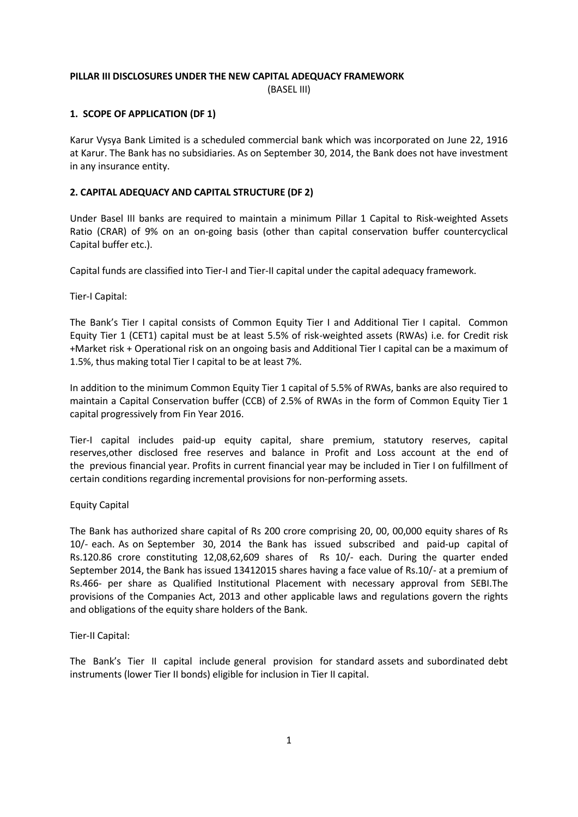#### **PILLAR III DISCLOSURES UNDER THE NEW CAPITAL ADEQUACY FRAMEWORK**

(BASEL III)

# **1. SCOPE OF APPLICATION (DF 1)**

Karur Vysya Bank Limited is a scheduled commercial bank which was incorporated on June 22, 1916 at Karur. The Bank has no subsidiaries. As on September 30, 2014, the Bank does not have investment in any insurance entity.

# **2. CAPITAL ADEQUACY AND CAPITAL STRUCTURE (DF 2)**

Under Basel III banks are required to maintain a minimum Pillar 1 Capital to Risk-weighted Assets Ratio (CRAR) of 9% on an on-going basis (other than capital conservation buffer countercyclical Capital buffer etc.).

Capital funds are classified into Tier-I and Tier-II capital under the capital adequacy framework.

Tier-I Capital:

The Bank's Tier I capital consists of Common Equity Tier I and Additional Tier I capital. Common Equity Tier 1 (CET1) capital must be at least 5.5% of risk-weighted assets (RWAs) i.e. for Credit risk +Market risk + Operational risk on an ongoing basis and Additional Tier I capital can be a maximum of 1.5%, thus making total Tier I capital to be at least 7%.

In addition to the minimum Common Equity Tier 1 capital of 5.5% of RWAs, banks are also required to maintain a Capital Conservation buffer (CCB) of 2.5% of RWAs in the form of Common Equity Tier 1 capital progressively from Fin Year 2016.

Tier-I capital includes paid-up equity capital, share premium, statutory reserves, capital reserves,other disclosed free reserves and balance in Profit and Loss account at the end of the previous financial year. Profits in current financial year may be included in Tier I on fulfillment of certain conditions regarding incremental provisions for non-performing assets.

# Equity Capital

The Bank has authorized share capital of Rs 200 crore comprising 20, 00, 00,000 equity shares of Rs 10/- each. As on September 30, 2014 the Bank has issued subscribed and paid-up capital of Rs.120.86 crore constituting 12,08,62,609 shares of Rs 10/- each. During the quarter ended September 2014, the Bank has issued 13412015 shares having a face value of Rs.10/- at a premium of Rs.466- per share as Qualified Institutional Placement with necessary approval from SEBI.The provisions of the Companies Act, 2013 and other applicable laws and regulations govern the rights and obligations of the equity share holders of the Bank.

# Tier-II Capital:

The Bank's Tier II capital include general provision for standard assets and subordinated debt instruments (lower Tier II bonds) eligible for inclusion in Tier II capital.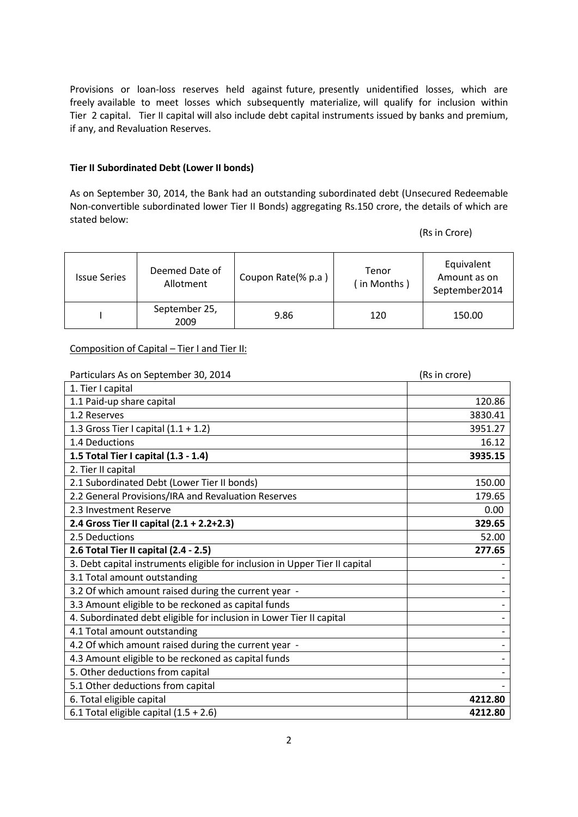Provisions or loan-loss reserves held against future, presently unidentified losses, which are freely available to meet losses which subsequently materialize, will qualify for inclusion within Tier 2 capital. Tier II capital will also include debt capital instruments issued by banks and premium, if any, and Revaluation Reserves.

#### **Tier II Subordinated Debt (Lower II bonds)**

As on September 30, 2014, the Bank had an outstanding subordinated debt (Unsecured Redeemable Non-convertible subordinated lower Tier II Bonds) aggregating Rs.150 crore, the details of which are stated below:

(Rs in Crore)

| <b>Issue Series</b> | Deemed Date of<br>Allotment | Coupon Rate(% p.a) | Tenor<br>(in Months) | Equivalent<br>Amount as on<br>September2014 |
|---------------------|-----------------------------|--------------------|----------------------|---------------------------------------------|
|                     | September 25,<br>2009       | 9.86               | 120                  | 150.00                                      |

# Composition of Capital – Tier I and Tier II:

| Particulars As on September 30, 2014                                        | (Rs in crore) |  |  |
|-----------------------------------------------------------------------------|---------------|--|--|
| 1. Tier I capital                                                           |               |  |  |
| 1.1 Paid-up share capital                                                   | 120.86        |  |  |
| 1.2 Reserves                                                                | 3830.41       |  |  |
| 1.3 Gross Tier I capital $(1.1 + 1.2)$                                      | 3951.27       |  |  |
| 1.4 Deductions                                                              | 16.12         |  |  |
| 1.5 Total Tier I capital (1.3 - 1.4)                                        | 3935.15       |  |  |
| 2. Tier II capital                                                          |               |  |  |
| 2.1 Subordinated Debt (Lower Tier II bonds)                                 | 150.00        |  |  |
| 2.2 General Provisions/IRA and Revaluation Reserves                         | 179.65        |  |  |
| 2.3 Investment Reserve                                                      | 0.00          |  |  |
| 2.4 Gross Tier II capital (2.1 + 2.2+2.3)                                   | 329.65        |  |  |
| 2.5 Deductions                                                              | 52.00         |  |  |
| 2.6 Total Tier II capital (2.4 - 2.5)                                       | 277.65        |  |  |
| 3. Debt capital instruments eligible for inclusion in Upper Tier II capital |               |  |  |
| 3.1 Total amount outstanding                                                |               |  |  |
| 3.2 Of which amount raised during the current year -                        |               |  |  |
| 3.3 Amount eligible to be reckoned as capital funds                         |               |  |  |
| 4. Subordinated debt eligible for inclusion in Lower Tier II capital        |               |  |  |
| 4.1 Total amount outstanding                                                |               |  |  |
| 4.2 Of which amount raised during the current year -                        |               |  |  |
| 4.3 Amount eligible to be reckoned as capital funds                         |               |  |  |
| 5. Other deductions from capital                                            |               |  |  |
| 5.1 Other deductions from capital                                           |               |  |  |
| 6. Total eligible capital                                                   | 4212.80       |  |  |
| 6.1 Total eligible capital $(1.5 + 2.6)$                                    | 4212.80       |  |  |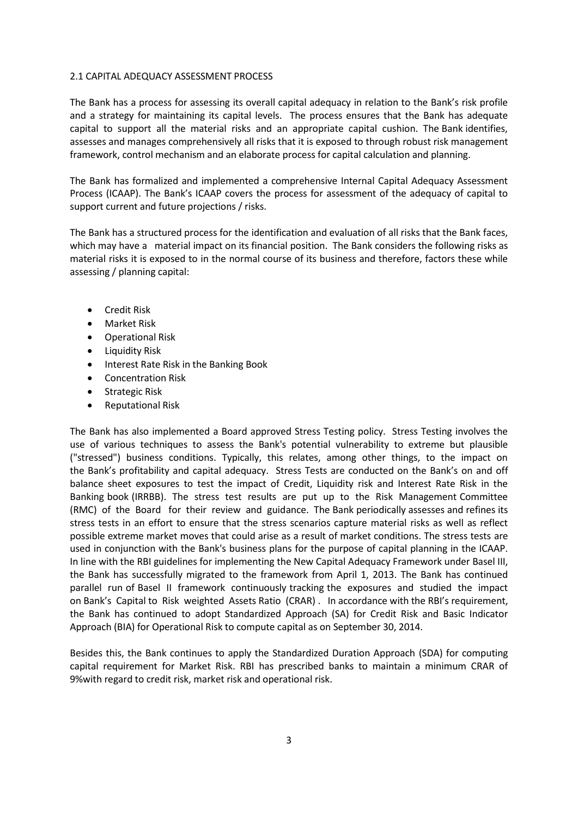#### 2.1 CAPITAL ADEQUACY ASSESSMENT PROCESS

The Bank has a process for assessing its overall capital adequacy in relation to the Bank's risk profile and a strategy for maintaining its capital levels. The process ensures that the Bank has adequate capital to support all the material risks and an appropriate capital cushion. The Bank identifies, assesses and manages comprehensively all risks that it is exposed to through robust risk management framework, control mechanism and an elaborate process for capital calculation and planning.

The Bank has formalized and implemented a comprehensive Internal Capital Adequacy Assessment Process (ICAAP). The Bank's ICAAP covers the process for assessment of the adequacy of capital to support current and future projections / risks.

The Bank has a structured process for the identification and evaluation of all risks that the Bank faces, which may have a material impact on its financial position. The Bank considers the following risks as material risks it is exposed to in the normal course of its business and therefore, factors these while assessing / planning capital:

- **•** Credit Risk
- Market Risk
- Operational Risk
- Liquidity Risk
- Interest Rate Risk in the Banking Book
- Concentration Risk
- Strategic Risk
- Reputational Risk

The Bank has also implemented a Board approved Stress Testing policy. Stress Testing involves the use of various techniques to assess the Bank's potential vulnerability to extreme but plausible ("stressed") business conditions. Typically, this relates, among other things, to the impact on the Bank's profitability and capital adequacy. Stress Tests are conducted on the Bank's on and off balance sheet exposures to test the impact of Credit, Liquidity risk and Interest Rate Risk in the Banking book (IRRBB). The stress test results are put up to the Risk Management Committee (RMC) of the Board for their review and guidance. The Bank periodically assesses and refines its stress tests in an effort to ensure that the stress scenarios capture material risks as well as reflect possible extreme market moves that could arise as a result of market conditions. The stress tests are used in conjunction with the Bank's business plans for the purpose of capital planning in the ICAAP. In line with the RBI guidelines for implementing the New Capital Adequacy Framework under Basel III, the Bank has successfully migrated to the framework from April 1, 2013. The Bank has continued parallel run of Basel II framework continuously tracking the exposures and studied the impact on Bank's Capital to Risk weighted Assets Ratio (CRAR) . In accordance with the RBI's requirement, the Bank has continued to adopt Standardized Approach (SA) for Credit Risk and Basic Indicator Approach (BIA) for Operational Risk to compute capital as on September 30, 2014.

Besides this, the Bank continues to apply the Standardized Duration Approach (SDA) for computing capital requirement for Market Risk. RBI has prescribed banks to maintain a minimum CRAR of 9%with regard to credit risk, market risk and operational risk.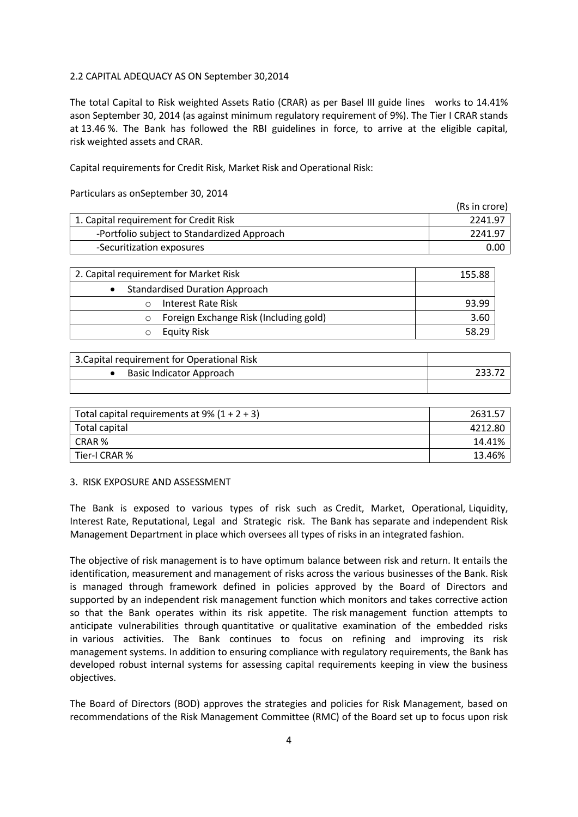# 2.2 CAPITAL ADEQUACY AS ON September 30,2014

The total Capital to Risk weighted Assets Ratio (CRAR) as per Basel III guide lines works to 14.41% ason September 30, 2014 (as against minimum regulatory requirement of 9%). The Tier I CRAR stands at 13.46 %. The Bank has followed the RBI guidelines in force, to arrive at the eligible capital, risk weighted assets and CRAR.

Capital requirements for Credit Risk, Market Risk and Operational Risk:

Particulars as onSeptember 30, 2014

|                                             | (Rs in crore) |
|---------------------------------------------|---------------|
| 1. Capital requirement for Credit Risk      | 2241.97       |
| -Portfolio subject to Standardized Approach | 2241.97       |
| -Securitization exposures                   | 0.00          |

| 2. Capital requirement for Market Risk | 155.88 |
|----------------------------------------|--------|
| <b>Standardised Duration Approach</b>  |        |
| Interest Rate Risk                     | 93.99  |
| Foreign Exchange Risk (Including gold) | 3.60   |
| <b>Equity Risk</b>                     | 58.29  |

| 3. Capital requirement for Operational Risk |  |
|---------------------------------------------|--|
| Basic Indicator Approach                    |  |
|                                             |  |

| Total capital requirements at $9\%$ (1 + 2 + 3) | 2631.57 |
|-------------------------------------------------|---------|
| Total capital                                   | 4212.80 |
| CRAR %                                          | 14.41%  |
| Tier-I CRAR %                                   | 13.46%  |

#### 3. RISK EXPOSURE AND ASSESSMENT

The Bank is exposed to various types of risk such as Credit, Market, Operational, Liquidity, Interest Rate, Reputational, Legal and Strategic risk. The Bank has separate and independent Risk Management Department in place which oversees all types of risks in an integrated fashion.

The objective of risk management is to have optimum balance between risk and return. It entails the identification, measurement and management of risks across the various businesses of the Bank. Risk is managed through framework defined in policies approved by the Board of Directors and supported by an independent risk management function which monitors and takes corrective action so that the Bank operates within its risk appetite. The risk management function attempts to anticipate vulnerabilities through quantitative or qualitative examination of the embedded risks in various activities. The Bank continues to focus on refining and improving its risk management systems. In addition to ensuring compliance with regulatory requirements, the Bank has developed robust internal systems for assessing capital requirements keeping in view the business objectives.

The Board of Directors (BOD) approves the strategies and policies for Risk Management, based on recommendations of the Risk Management Committee (RMC) of the Board set up to focus upon risk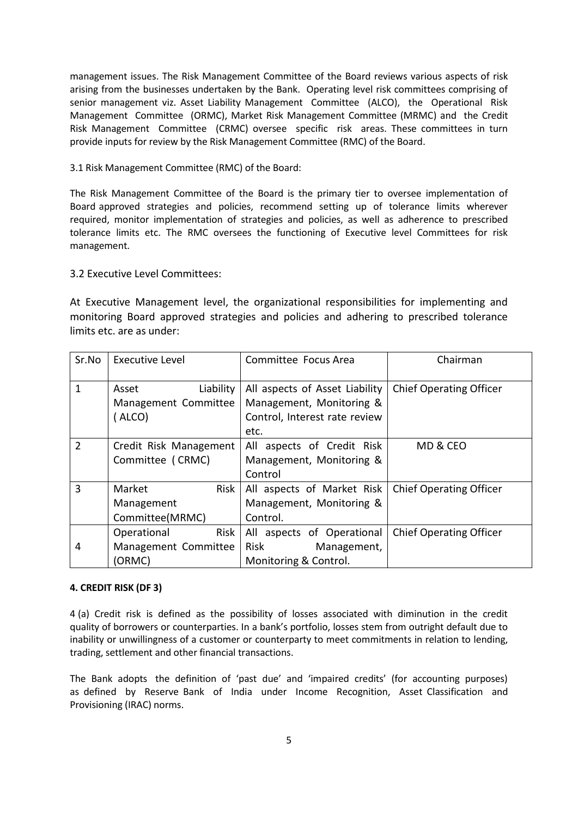management issues. The Risk Management Committee of the Board reviews various aspects of risk arising from the businesses undertaken by the Bank. Operating level risk committees comprising of senior management viz. Asset Liability Management Committee (ALCO), the Operational Risk Management Committee (ORMC), Market Risk Management Committee (MRMC) and the Credit Risk Management Committee (CRMC) oversee specific risk areas. These committees in turn provide inputs for review by the Risk Management Committee (RMC) of the Board.

3.1 Risk Management Committee (RMC) of the Board:

The Risk Management Committee of the Board is the primary tier to oversee implementation of Board approved strategies and policies, recommend setting up of tolerance limits wherever required, monitor implementation of strategies and policies, as well as adherence to prescribed tolerance limits etc. The RMC oversees the functioning of Executive level Committees for risk management.

# 3.2 Executive Level Committees:

At Executive Management level, the organizational responsibilities for implementing and monitoring Board approved strategies and policies and adhering to prescribed tolerance limits etc. are as under:

| Sr.No          | <b>Executive Level</b>                                | Committee Focus Area                                                                        | Chairman                       |  |
|----------------|-------------------------------------------------------|---------------------------------------------------------------------------------------------|--------------------------------|--|
| 1              | Liability<br>Asset<br>Management Committee<br>(ALCO)  | All aspects of Asset Liability<br>Management, Monitoring &<br>Control, Interest rate review | <b>Chief Operating Officer</b> |  |
|                |                                                       | etc.                                                                                        |                                |  |
| $\overline{2}$ | Credit Risk Management<br>Committee (CRMC)            | All aspects of Credit Risk<br>Management, Monitoring &<br>Control                           | MD & CEO                       |  |
| $\overline{3}$ | Risk<br>Market<br>Management<br>Committee(MRMC)       | All aspects of Market Risk<br>Management, Monitoring &<br>Control.                          | Chief Operating Officer        |  |
| 4              | Risk<br>Operational<br>Management Committee<br>(ORMC) | All aspects of Operational<br>Risk<br>Management,<br>Monitoring & Control.                  | <b>Chief Operating Officer</b> |  |

# **4. CREDIT RISK (DF 3)**

4 (a) Credit risk is defined as the possibility of losses associated with diminution in the credit quality of borrowers or counterparties. In a bank's portfolio, losses stem from outright default due to inability or unwillingness of a customer or counterparty to meet commitments in relation to lending, trading, settlement and other financial transactions.

The Bank adopts the definition of 'past due' and 'impaired credits' (for accounting purposes) as defined by Reserve Bank of India under Income Recognition, Asset Classification and Provisioning (IRAC) norms.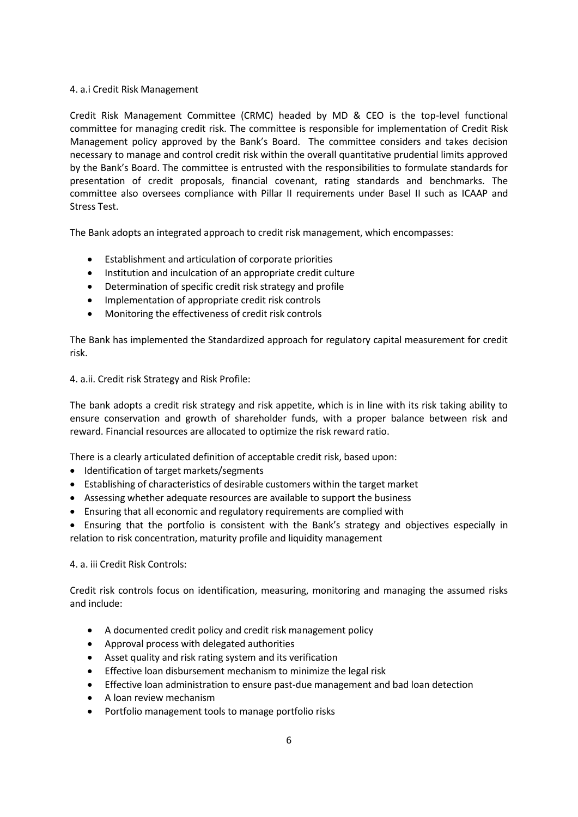# 4. a.i Credit Risk Management

Credit Risk Management Committee (CRMC) headed by MD & CEO is the top-level functional committee for managing credit risk. The committee is responsible for implementation of Credit Risk Management policy approved by the Bank's Board. The committee considers and takes decision necessary to manage and control credit risk within the overall quantitative prudential limits approved by the Bank's Board. The committee is entrusted with the responsibilities to formulate standards for presentation of credit proposals, financial covenant, rating standards and benchmarks. The committee also oversees compliance with Pillar II requirements under Basel II such as ICAAP and Stress Test.

The Bank adopts an integrated approach to credit risk management, which encompasses:

- Establishment and articulation of corporate priorities
- Institution and inculcation of an appropriate credit culture
- Determination of specific credit risk strategy and profile
- Implementation of appropriate credit risk controls
- Monitoring the effectiveness of credit risk controls

The Bank has implemented the Standardized approach for regulatory capital measurement for credit risk.

4. a.ii. Credit risk Strategy and Risk Profile:

The bank adopts a credit risk strategy and risk appetite, which is in line with its risk taking ability to ensure conservation and growth of shareholder funds, with a proper balance between risk and reward. Financial resources are allocated to optimize the risk reward ratio.

There is a clearly articulated definition of acceptable credit risk, based upon:

- Identification of target markets/segments
- Establishing of characteristics of desirable customers within the target market
- Assessing whether adequate resources are available to support the business
- Ensuring that all economic and regulatory requirements are complied with

 Ensuring that the portfolio is consistent with the Bank's strategy and objectives especially in relation to risk concentration, maturity profile and liquidity management

# 4. a. iii Credit Risk Controls:

Credit risk controls focus on identification, measuring, monitoring and managing the assumed risks and include:

- A documented credit policy and credit risk management policy
- Approval process with delegated authorities
- Asset quality and risk rating system and its verification
- **Effective loan disbursement mechanism to minimize the legal risk**
- Effective loan administration to ensure past-due management and bad loan detection
- A loan review mechanism
- Portfolio management tools to manage portfolio risks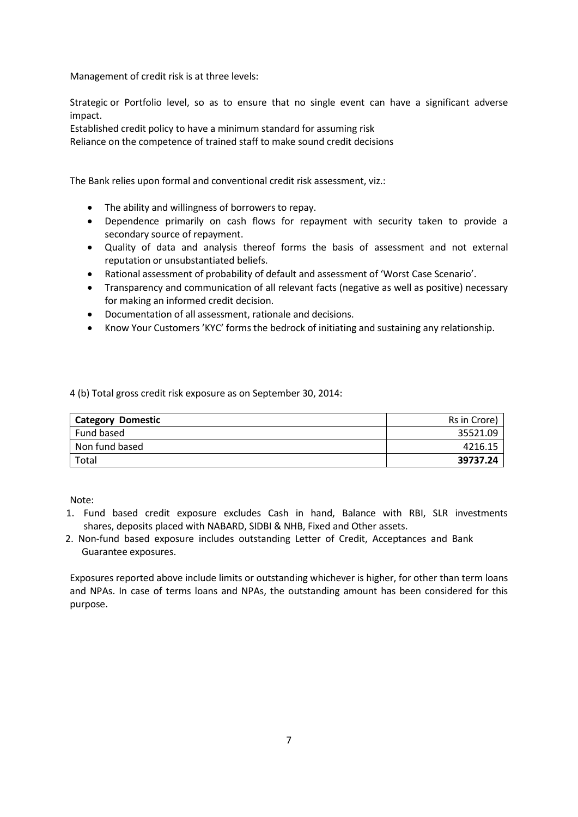Management of credit risk is at three levels:

Strategic or Portfolio level, so as to ensure that no single event can have a significant adverse impact.

Established credit policy to have a minimum standard for assuming risk Reliance on the competence of trained staff to make sound credit decisions

The Bank relies upon formal and conventional credit risk assessment, viz.:

- The ability and willingness of borrowers to repay.
- Dependence primarily on cash flows for repayment with security taken to provide a secondary source of repayment.
- Quality of data and analysis thereof forms the basis of assessment and not external reputation or unsubstantiated beliefs.
- Rational assessment of probability of default and assessment of 'Worst Case Scenario'.
- Transparency and communication of all relevant facts (negative as well as positive) necessary for making an informed credit decision.
- Documentation of all assessment, rationale and decisions.
- Know Your Customers 'KYC' forms the bedrock of initiating and sustaining any relationship.

4 (b) Total gross credit risk exposure as on September 30, 2014:

| <b>Category Domestic</b> | Rs in Crore) |
|--------------------------|--------------|
| Fund based               | 35521.09     |
| Non fund based           | 4216.15      |
| Total                    | 39737.24     |

Note:

- 1. Fund based credit exposure excludes Cash in hand, Balance with RBI, SLR investments shares, deposits placed with NABARD, SIDBI & NHB, Fixed and Other assets.
- 2. Non-fund based exposure includes outstanding Letter of Credit, Acceptances and Bank Guarantee exposures.

Exposures reported above include limits or outstanding whichever is higher, for other than term loans and NPAs. In case of terms loans and NPAs, the outstanding amount has been considered for this purpose.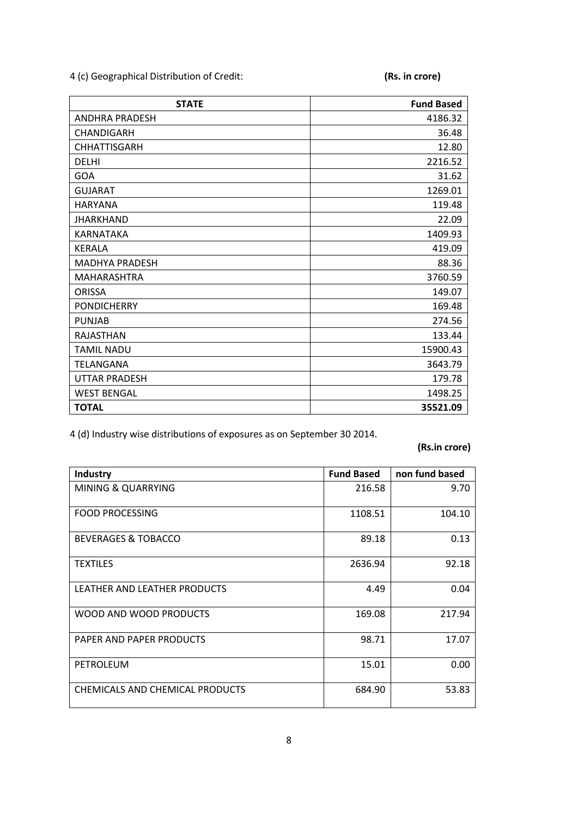4 (c) Geographical Distribution of Credit: **(Rs. in crore)**

| <b>STATE</b>          | <b>Fund Based</b> |
|-----------------------|-------------------|
| <b>ANDHRA PRADESH</b> | 4186.32           |
| CHANDIGARH            | 36.48             |
| <b>CHHATTISGARH</b>   | 12.80             |
| <b>DELHI</b>          | 2216.52           |
| GOA                   | 31.62             |
| <b>GUJARAT</b>        | 1269.01           |
| HARYANA               | 119.48            |
| <b>JHARKHAND</b>      | 22.09             |
| KARNATAKA             | 1409.93           |
| <b>KERALA</b>         | 419.09            |
| <b>MADHYA PRADESH</b> | 88.36             |
| MAHARASHTRA           | 3760.59           |
| <b>ORISSA</b>         | 149.07            |
| <b>PONDICHERRY</b>    | 169.48            |
| <b>PUNJAB</b>         | 274.56            |
| <b>RAJASTHAN</b>      | 133.44            |
| <b>TAMIL NADU</b>     | 15900.43          |
| TELANGANA             | 3643.79           |
| <b>UTTAR PRADESH</b>  | 179.78            |
| <b>WEST BENGAL</b>    | 1498.25           |
| <b>TOTAL</b>          | 35521.09          |

4 (d) Industry wise distributions of exposures as on September 30 2014.

**(Rs.in crore)**

| Industry                        | <b>Fund Based</b> | non fund based |
|---------------------------------|-------------------|----------------|
| <b>MINING &amp; QUARRYING</b>   | 216.58            | 9.70           |
| <b>FOOD PROCESSING</b>          | 1108.51           | 104.10         |
| <b>BEVERAGES &amp; TOBACCO</b>  | 89.18             | 0.13           |
| <b>TEXTILES</b>                 | 2636.94           | 92.18          |
| LEATHER AND LEATHER PRODUCTS    | 4.49              | 0.04           |
| WOOD AND WOOD PRODUCTS          | 169.08            | 217.94         |
| PAPER AND PAPER PRODUCTS        | 98.71             | 17.07          |
| PETROLEUM                       | 15.01             | 0.00           |
| CHEMICALS AND CHEMICAL PRODUCTS | 684.90            | 53.83          |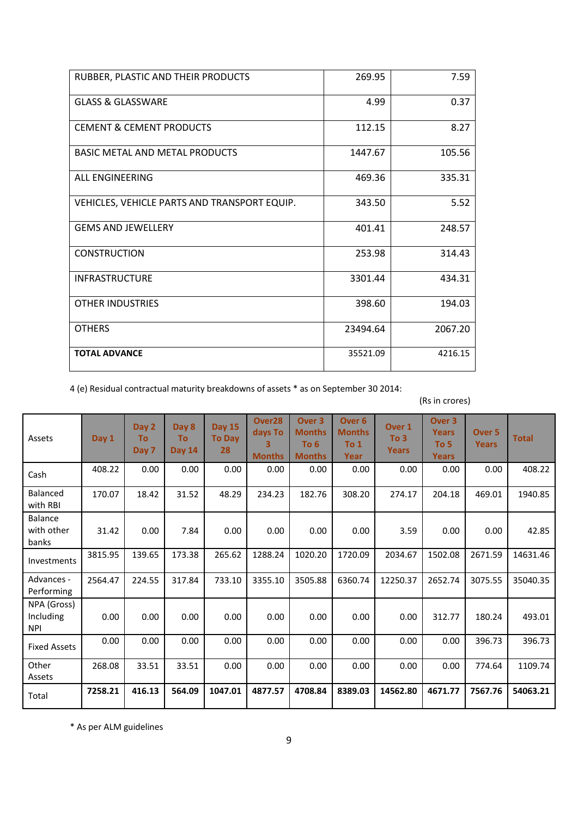| RUBBER, PLASTIC AND THEIR PRODUCTS           | 269.95   | 7.59    |
|----------------------------------------------|----------|---------|
| <b>GLASS &amp; GLASSWARE</b>                 | 4.99     | 0.37    |
| <b>CEMENT &amp; CEMENT PRODUCTS</b>          | 112.15   | 8.27    |
| <b>BASIC METAL AND METAL PRODUCTS</b>        | 1447.67  | 105.56  |
| <b>ALL ENGINEERING</b>                       | 469.36   | 335.31  |
| VEHICLES, VEHICLE PARTS AND TRANSPORT EQUIP. | 343.50   | 5.52    |
| <b>GEMS AND JEWFLLERY</b>                    | 401.41   | 248.57  |
| <b>CONSTRUCTION</b>                          | 253.98   | 314.43  |
| <b>INFRASTRUCTURE</b>                        | 3301.44  | 434.31  |
| <b>OTHER INDUSTRIES</b>                      | 398.60   | 194.03  |
| <b>OTHERS</b>                                | 23494.64 | 2067.20 |
| <b>TOTAL ADVANCE</b>                         | 35521.09 | 4216.15 |

4 (e) Residual contractual maturity breakdowns of assets \* as on September 30 2014:

(Rs in crores)

| Assets                                 | Day 1   | Day 2<br>To<br>Day 7 | Day 8<br>To<br><b>Day 14</b> | <b>Day 15</b><br><b>To Day</b><br>28 | Over <sub>28</sub><br>days To<br>3<br><b>Months</b> | Over <sub>3</sub><br><b>Months</b><br>To 6<br><b>Months</b> | Over <sub>6</sub><br><b>Months</b><br>To 1<br>Year | Over 1<br>To 3<br><b>Years</b> | Over <sub>3</sub><br><b>Years</b><br>To 5<br><b>Years</b> | Over <sub>5</sub><br><b>Years</b> | <b>Total</b> |
|----------------------------------------|---------|----------------------|------------------------------|--------------------------------------|-----------------------------------------------------|-------------------------------------------------------------|----------------------------------------------------|--------------------------------|-----------------------------------------------------------|-----------------------------------|--------------|
| Cash                                   | 408.22  | 0.00                 | 0.00                         | 0.00                                 | 0.00                                                | 0.00                                                        | 0.00                                               | 0.00                           | 0.00                                                      | 0.00                              | 408.22       |
| Balanced<br>with RBI                   | 170.07  | 18.42                | 31.52                        | 48.29                                | 234.23                                              | 182.76                                                      | 308.20                                             | 274.17                         | 204.18                                                    | 469.01                            | 1940.85      |
| <b>Balance</b><br>with other<br>banks  | 31.42   | 0.00                 | 7.84                         | 0.00                                 | 0.00                                                | 0.00                                                        | 0.00                                               | 3.59                           | 0.00                                                      | 0.00                              | 42.85        |
| Investments                            | 3815.95 | 139.65               | 173.38                       | 265.62                               | 1288.24                                             | 1020.20                                                     | 1720.09                                            | 2034.67                        | 1502.08                                                   | 2671.59                           | 14631.46     |
| Advances -<br>Performing               | 2564.47 | 224.55               | 317.84                       | 733.10                               | 3355.10                                             | 3505.88                                                     | 6360.74                                            | 12250.37                       | 2652.74                                                   | 3075.55                           | 35040.35     |
| NPA (Gross)<br>Including<br><b>NPI</b> | 0.00    | 0.00                 | 0.00                         | 0.00                                 | 0.00                                                | 0.00                                                        | 0.00                                               | 0.00                           | 312.77                                                    | 180.24                            | 493.01       |
| <b>Fixed Assets</b>                    | 0.00    | 0.00                 | 0.00                         | 0.00                                 | 0.00                                                | 0.00                                                        | 0.00                                               | 0.00                           | 0.00                                                      | 396.73                            | 396.73       |
| Other<br>Assets                        | 268.08  | 33.51                | 33.51                        | 0.00                                 | 0.00                                                | 0.00                                                        | 0.00                                               | 0.00                           | 0.00                                                      | 774.64                            | 1109.74      |
| Total                                  | 7258.21 | 416.13               | 564.09                       | 1047.01                              | 4877.57                                             | 4708.84                                                     | 8389.03                                            | 14562.80                       | 4671.77                                                   | 7567.76                           | 54063.21     |

\* As per ALM guidelines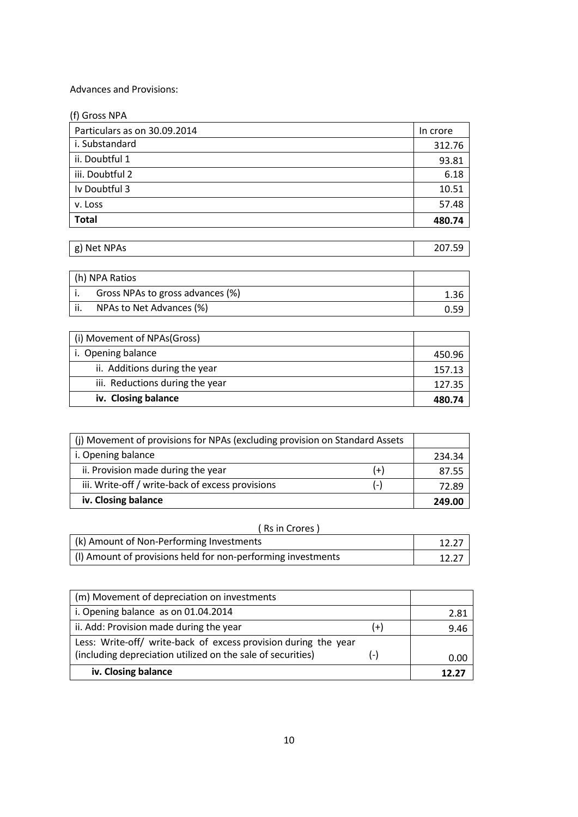# Advances and Provisions:

| (f) Gross NPA                |          |
|------------------------------|----------|
| Particulars as on 30.09.2014 | In crore |
| i. Substandard               | 312.76   |
| ii. Doubtful 1               | 93.81    |
| iii. Doubtful 2              | 6.18     |
| Iv Doubtful 3                | 10.51    |
| v. Loss                      | 57.48    |
| <b>Total</b>                 | 480.74   |

| <b>NPAS</b><br>Net<br>σ١<br>$\sim$<br>01 |  |
|------------------------------------------|--|
|                                          |  |

|     | (h) NPA Ratios                   |      |
|-----|----------------------------------|------|
|     | Gross NPAs to gross advances (%) | 1.36 |
| ii. | NPAs to Net Advances (%)         | 0.59 |

| (i) Movement of NPAs(Gross)     |        |
|---------------------------------|--------|
| i. Opening balance              | 450.96 |
| ii. Additions during the year   | 157.13 |
| iii. Reductions during the year | 127.35 |
| iv. Closing balance             | 480.74 |

| (i) Movement of provisions for NPAs (excluding provision on Standard Assets |       |        |
|-----------------------------------------------------------------------------|-------|--------|
| i. Opening balance                                                          |       | 234.34 |
| ii. Provision made during the year                                          | (+)   | 87.55  |
| iii. Write-off / write-back of excess provisions                            | ( – ) | 72.89  |
| iv. Closing balance                                                         |       | 249.00 |

|  |  |  | (Rs in Crores) |
|--|--|--|----------------|
|--|--|--|----------------|

| (k) Amount of Non-Performing Investments                     |  |
|--------------------------------------------------------------|--|
| (I) Amount of provisions held for non-performing investments |  |

| (m) Movement of depreciation on investments                     |       |       |
|-----------------------------------------------------------------|-------|-------|
| i. Opening balance as on 01.04.2014                             |       | 2.81  |
| ii. Add: Provision made during the year                         | $(+)$ | 9.46  |
| Less: Write-off/ write-back of excess provision during the year |       |       |
| (including depreciation utilized on the sale of securities)     | $(-)$ | 0.00  |
| iv. Closing balance                                             |       | 17 J. |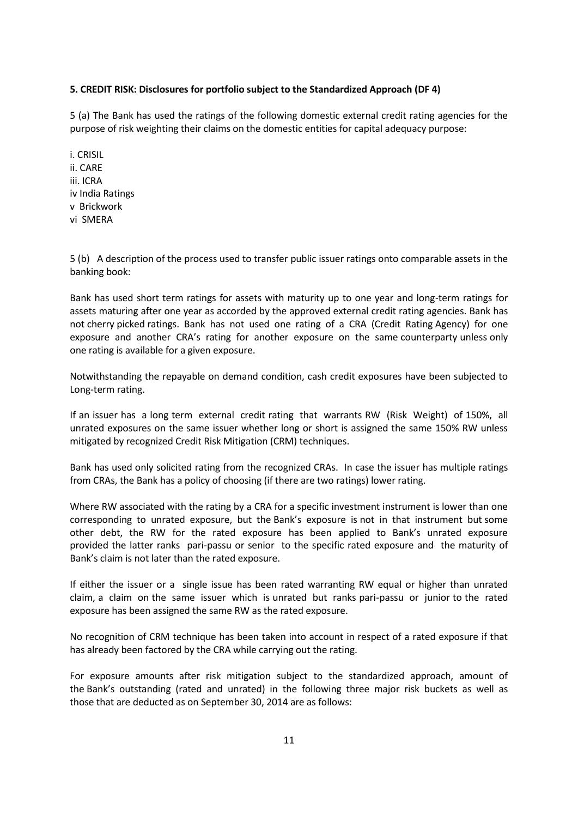#### **5. CREDIT RISK: Disclosures for portfolio subject to the Standardized Approach (DF 4)**

5 (a) The Bank has used the ratings of the following domestic external credit rating agencies for the purpose of risk weighting their claims on the domestic entities for capital adequacy purpose:

i. CRISIL ii. CARE iii. ICRA iv India Ratings v Brickwork vi SMERA

5 (b) A description of the process used to transfer public issuer ratings onto comparable assets in the banking book:

Bank has used short term ratings for assets with maturity up to one year and long-term ratings for assets maturing after one year as accorded by the approved external credit rating agencies. Bank has not cherry picked ratings. Bank has not used one rating of a CRA (Credit Rating Agency) for one exposure and another CRA's rating for another exposure on the same counterparty unless only one rating is available for a given exposure.

Notwithstanding the repayable on demand condition, cash credit exposures have been subjected to Long-term rating.

If an issuer has a long term external credit rating that warrants RW (Risk Weight) of 150%, all unrated exposures on the same issuer whether long or short is assigned the same 150% RW unless mitigated by recognized Credit Risk Mitigation (CRM) techniques.

Bank has used only solicited rating from the recognized CRAs. In case the issuer has multiple ratings from CRAs, the Bank has a policy of choosing (if there are two ratings) lower rating.

Where RW associated with the rating by a CRA for a specific investment instrument is lower than one corresponding to unrated exposure, but the Bank's exposure is not in that instrument but some other debt, the RW for the rated exposure has been applied to Bank's unrated exposure provided the latter ranks pari-passu or senior to the specific rated exposure and the maturity of Bank's claim is not later than the rated exposure.

If either the issuer or a single issue has been rated warranting RW equal or higher than unrated claim, a claim on the same issuer which is unrated but ranks pari-passu or junior to the rated exposure has been assigned the same RW as the rated exposure.

No recognition of CRM technique has been taken into account in respect of a rated exposure if that has already been factored by the CRA while carrying out the rating.

For exposure amounts after risk mitigation subject to the standardized approach, amount of the Bank's outstanding (rated and unrated) in the following three major risk buckets as well as those that are deducted as on September 30, 2014 are as follows: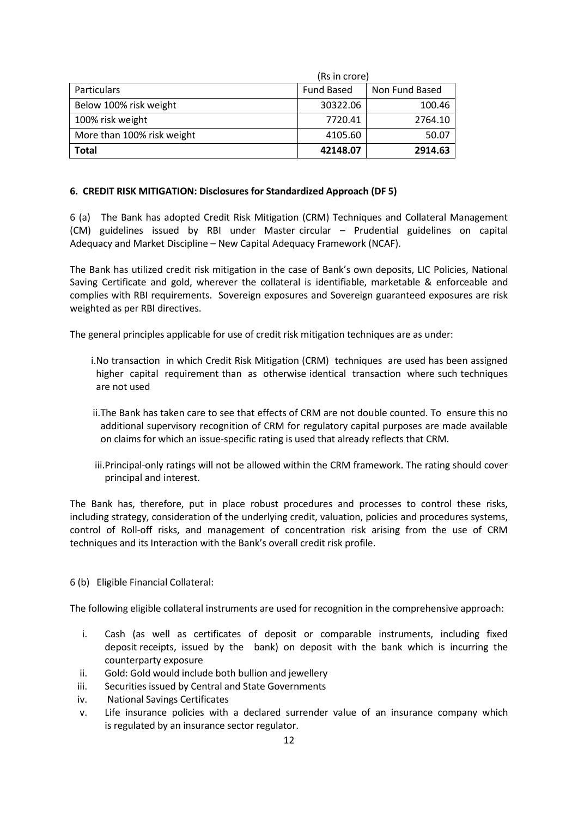| <b>Total</b>               | 42148.07          | 2914.63        |  |
|----------------------------|-------------------|----------------|--|
| More than 100% risk weight | 4105.60           | 50.07          |  |
| 100% risk weight           | 7720.41           | 2764.10        |  |
| Below 100% risk weight     | 30322.06          | 100.46         |  |
| <b>Particulars</b>         | <b>Fund Based</b> | Non Fund Based |  |
|                            | (Rs in crore)     |                |  |

#### **6. CREDIT RISK MITIGATION: Disclosures for Standardized Approach (DF 5)**

6 (a) The Bank has adopted Credit Risk Mitigation (CRM) Techniques and Collateral Management (CM) guidelines issued by RBI under Master circular – Prudential guidelines on capital Adequacy and Market Discipline – New Capital Adequacy Framework (NCAF).

The Bank has utilized credit risk mitigation in the case of Bank's own deposits, LIC Policies, National Saving Certificate and gold, wherever the collateral is identifiable, marketable & enforceable and complies with RBI requirements. Sovereign exposures and Sovereign guaranteed exposures are risk weighted as per RBI directives.

The general principles applicable for use of credit risk mitigation techniques are as under:

- i.No transaction in which Credit Risk Mitigation (CRM) techniques are used has been assigned higher capital requirement than as otherwise identical transaction where such techniques are not used
- ii.The Bank has taken care to see that effects of CRM are not double counted. To ensure this no additional supervisory recognition of CRM for regulatory capital purposes are made available on claims for which an issue-specific rating is used that already reflects that CRM.
- iii.Principal-only ratings will not be allowed within the CRM framework. The rating should cover principal and interest.

The Bank has, therefore, put in place robust procedures and processes to control these risks, including strategy, consideration of the underlying credit, valuation, policies and procedures systems, control of Roll-off risks, and management of concentration risk arising from the use of CRM techniques and its Interaction with the Bank's overall credit risk profile.

6 (b) Eligible Financial Collateral:

The following eligible collateral instruments are used for recognition in the comprehensive approach:

- i. Cash (as well as certificates of deposit or comparable instruments, including fixed deposit receipts, issued by the bank) on deposit with the bank which is incurring the counterparty exposure
- ii. Gold: Gold would include both bullion and jewellery
- iii. Securities issued by Central and State Governments
- iv. National Savings Certificates
- v. Life insurance policies with a declared surrender value of an insurance company which is regulated by an insurance sector regulator.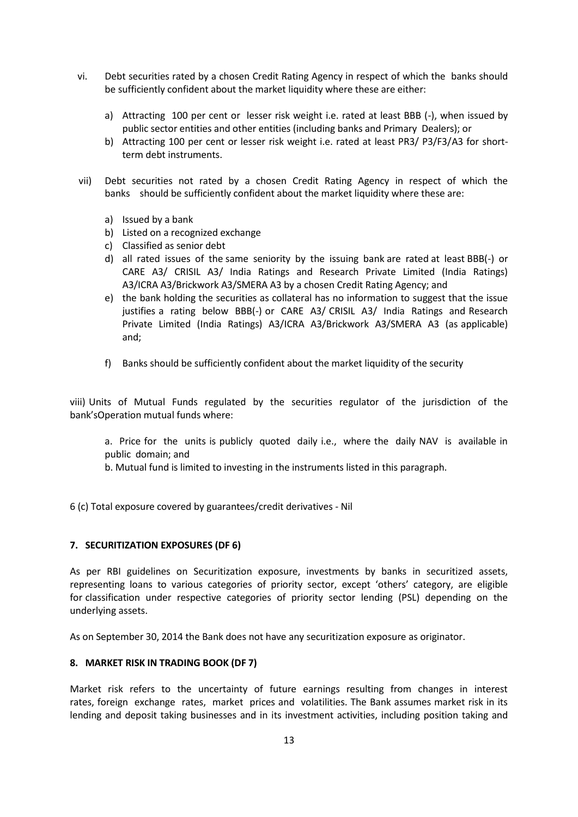- vi. Debt securities rated by a chosen Credit Rating Agency in respect of which the banks should be sufficiently confident about the market liquidity where these are either:
	- a) Attracting 100 per cent or lesser risk weight i.e. rated at least BBB (-), when issued by public sector entities and other entities (including banks and Primary Dealers); or
	- b) Attracting 100 per cent or lesser risk weight i.e. rated at least PR3/ P3/F3/A3 for shortterm debt instruments.
- vii) Debt securities not rated by a chosen Credit Rating Agency in respect of which the banks should be sufficiently confident about the market liquidity where these are:
	- a) Issued by a bank
	- b) Listed on a recognized exchange
	- c) Classified as senior debt
	- d) all rated issues of the same seniority by the issuing bank are rated at least BBB(-) or CARE A3/ CRISIL A3/ India Ratings and Research Private Limited (India Ratings) A3/ICRA A3/Brickwork A3/SMERA A3 by a chosen Credit Rating Agency; and
	- e) the bank holding the securities as collateral has no information to suggest that the issue justifies a rating below BBB(-) or CARE A3/ CRISIL A3/ India Ratings and Research Private Limited (India Ratings) A3/ICRA A3/Brickwork A3/SMERA A3 (as applicable) and;
	- f) Banks should be sufficiently confident about the market liquidity of the security

viii) Units of Mutual Funds regulated by the securities regulator of the jurisdiction of the bank'sOperation mutual funds where:

- a. Price for the units is publicly quoted daily i.e., where the daily NAV is available in public domain; and
- b. Mutual fund is limited to investing in the instruments listed in this paragraph.

6 (c) Total exposure covered by guarantees/credit derivatives - Nil

#### **7. SECURITIZATION EXPOSURES (DF 6)**

As per RBI guidelines on Securitization exposure, investments by banks in securitized assets, representing loans to various categories of priority sector, except 'others' category, are eligible for classification under respective categories of priority sector lending (PSL) depending on the underlying assets.

As on September 30, 2014 the Bank does not have any securitization exposure as originator.

# **8. MARKET RISK IN TRADING BOOK (DF 7)**

Market risk refers to the uncertainty of future earnings resulting from changes in interest rates, foreign exchange rates, market prices and volatilities. The Bank assumes market risk in its lending and deposit taking businesses and in its investment activities, including position taking and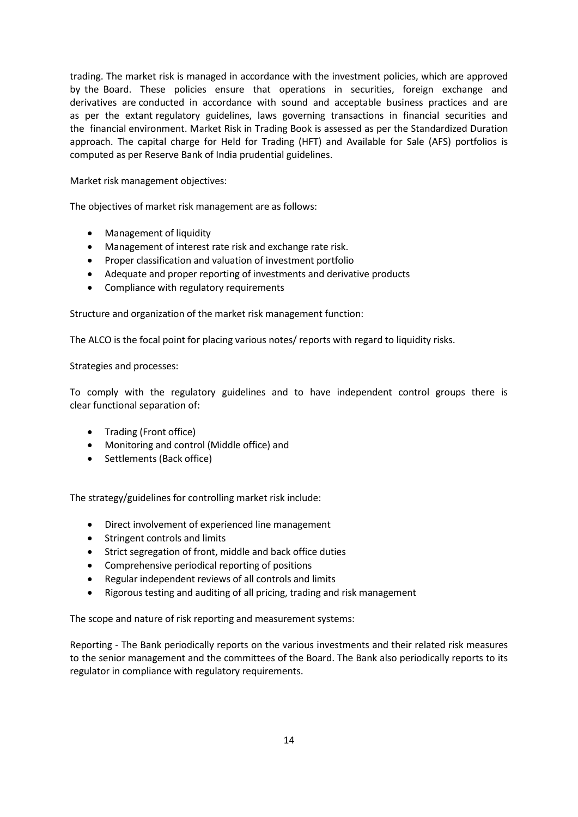trading. The market risk is managed in accordance with the investment policies, which are approved by the Board. These policies ensure that operations in securities, foreign exchange and derivatives are conducted in accordance with sound and acceptable business practices and are as per the extant regulatory guidelines, laws governing transactions in financial securities and the financial environment. Market Risk in Trading Book is assessed as per the Standardized Duration approach. The capital charge for Held for Trading (HFT) and Available for Sale (AFS) portfolios is computed as per Reserve Bank of India prudential guidelines.

Market risk management objectives:

The objectives of market risk management are as follows:

- Management of liquidity
- Management of interest rate risk and exchange rate risk.
- Proper classification and valuation of investment portfolio
- Adequate and proper reporting of investments and derivative products
- Compliance with regulatory requirements

Structure and organization of the market risk management function:

The ALCO is the focal point for placing various notes/ reports with regard to liquidity risks.

Strategies and processes:

To comply with the regulatory guidelines and to have independent control groups there is clear functional separation of:

- Trading (Front office)
- Monitoring and control (Middle office) and
- Settlements (Back office)

The strategy/guidelines for controlling market risk include:

- Direct involvement of experienced line management
- Stringent controls and limits
- Strict segregation of front, middle and back office duties
- Comprehensive periodical reporting of positions
- Regular independent reviews of all controls and limits
- Rigorous testing and auditing of all pricing, trading and risk management

The scope and nature of risk reporting and measurement systems:

Reporting - The Bank periodically reports on the various investments and their related risk measures to the senior management and the committees of the Board. The Bank also periodically reports to its regulator in compliance with regulatory requirements.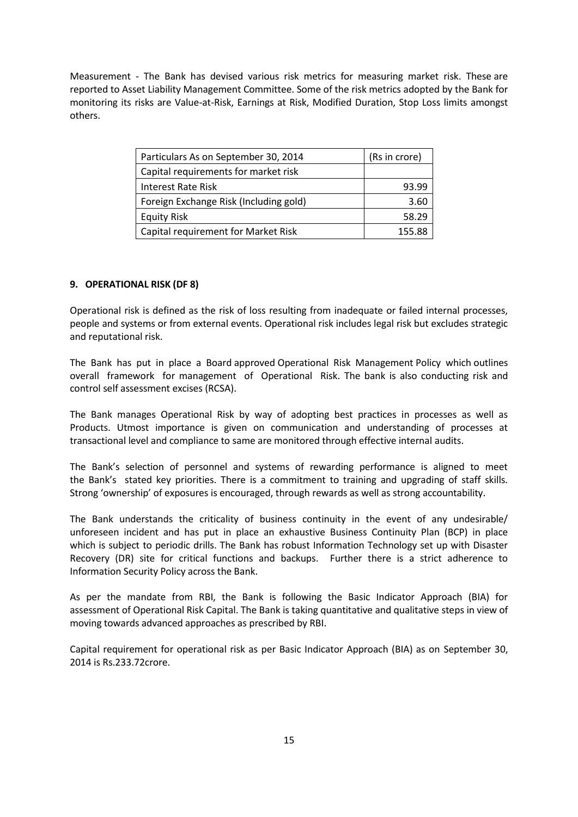Measurement - The Bank has devised various risk metrics for measuring market risk. These are reported to Asset Liability Management Committee. Some of the risk metrics adopted by the Bank for monitoring its risks are Value-at-Risk, Earnings at Risk, Modified Duration, Stop Loss limits amongst others.

| Particulars As on September 30, 2014   | (Rs in crore) |  |
|----------------------------------------|---------------|--|
| Capital requirements for market risk   |               |  |
| Interest Rate Risk                     | 93.99         |  |
| Foreign Exchange Risk (Including gold) | 3.60          |  |
| <b>Equity Risk</b>                     | 58.29         |  |
| Capital requirement for Market Risk    | 155.88        |  |

#### **9. OPERATIONAL RISK (DF 8)**

Operational risk is defined as the risk of loss resulting from inadequate or failed internal processes, people and systems or from external events. Operational risk includes legal risk but excludes strategic and reputational risk.

The Bank has put in place a Board approved Operational Risk Management Policy which outlines overall framework for management of Operational Risk. The bank is also conducting risk and control self assessment excises (RCSA).

The Bank manages Operational Risk by way of adopting best practices in processes as well as Products. Utmost importance is given on communication and understanding of processes at transactional level and compliance to same are monitored through effective internal audits.

The Bank's selection of personnel and systems of rewarding performance is aligned to meet the Bank's stated key priorities. There is a commitment to training and upgrading of staff skills. Strong 'ownership' of exposures is encouraged, through rewards as well as strong accountability.

The Bank understands the criticality of business continuity in the event of any undesirable/ unforeseen incident and has put in place an exhaustive Business Continuity Plan (BCP) in place which is subject to periodic drills. The Bank has robust Information Technology set up with Disaster Recovery (DR) site for critical functions and backups. Further there is a strict adherence to Information Security Policy across the Bank.

As per the mandate from RBI, the Bank is following the Basic Indicator Approach (BIA) for assessment of Operational Risk Capital. The Bank is taking quantitative and qualitative steps in view of moving towards advanced approaches as prescribed by RBI.

Capital requirement for operational risk as per Basic Indicator Approach (BIA) as on September 30, 2014 is Rs.233.72crore.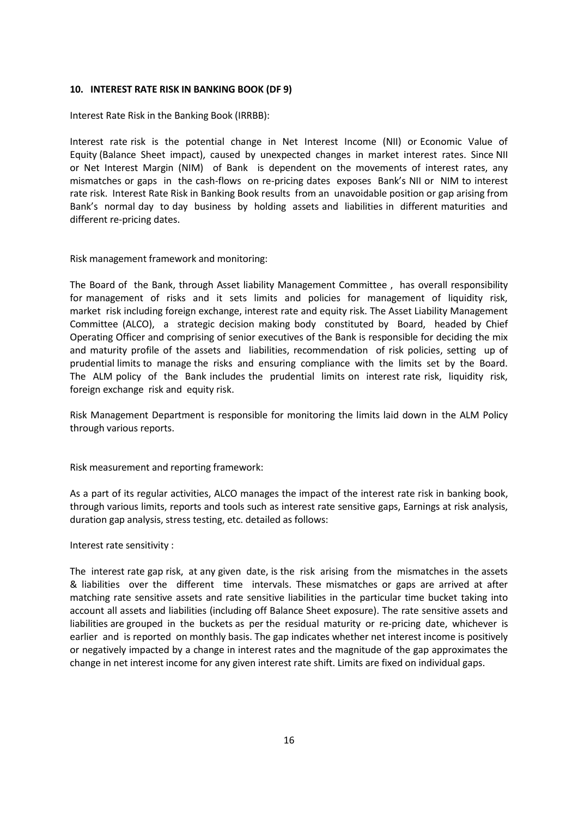#### **10. INTEREST RATE RISK IN BANKING BOOK (DF 9)**

Interest Rate Risk in the Banking Book (IRRBB):

Interest rate risk is the potential change in Net Interest Income (NII) or Economic Value of Equity (Balance Sheet impact), caused by unexpected changes in market interest rates. Since NII or Net Interest Margin (NIM) of Bank is dependent on the movements of interest rates, any mismatches or gaps in the cash-flows on re-pricing dates exposes Bank's NII or NIM to interest rate risk. Interest Rate Risk in Banking Book results from an unavoidable position or gap arising from Bank's normal day to day business by holding assets and liabilities in different maturities and different re-pricing dates.

Risk management framework and monitoring:

The Board of the Bank, through Asset liability Management Committee , has overall responsibility for management of risks and it sets limits and policies for management of liquidity risk, market risk including foreign exchange, interest rate and equity risk. The Asset Liability Management Committee (ALCO), a strategic decision making body constituted by Board, headed by Chief Operating Officer and comprising of senior executives of the Bank is responsible for deciding the mix and maturity profile of the assets and liabilities, recommendation of risk policies, setting up of prudential limits to manage the risks and ensuring compliance with the limits set by the Board. The ALM policy of the Bank includes the prudential limits on interest rate risk, liquidity risk, foreign exchange risk and equity risk.

Risk Management Department is responsible for monitoring the limits laid down in the ALM Policy through various reports.

Risk measurement and reporting framework:

As a part of its regular activities, ALCO manages the impact of the interest rate risk in banking book, through various limits, reports and tools such as interest rate sensitive gaps, Earnings at risk analysis, duration gap analysis, stress testing, etc. detailed as follows:

Interest rate sensitivity :

The interest rate gap risk, at any given date, is the risk arising from the mismatches in the assets & liabilities over the different time intervals. These mismatches or gaps are arrived at after matching rate sensitive assets and rate sensitive liabilities in the particular time bucket taking into account all assets and liabilities (including off Balance Sheet exposure). The rate sensitive assets and liabilities are grouped in the buckets as per the residual maturity or re-pricing date, whichever is earlier and is reported on monthly basis. The gap indicates whether net interest income is positively or negatively impacted by a change in interest rates and the magnitude of the gap approximates the change in net interest income for any given interest rate shift. Limits are fixed on individual gaps.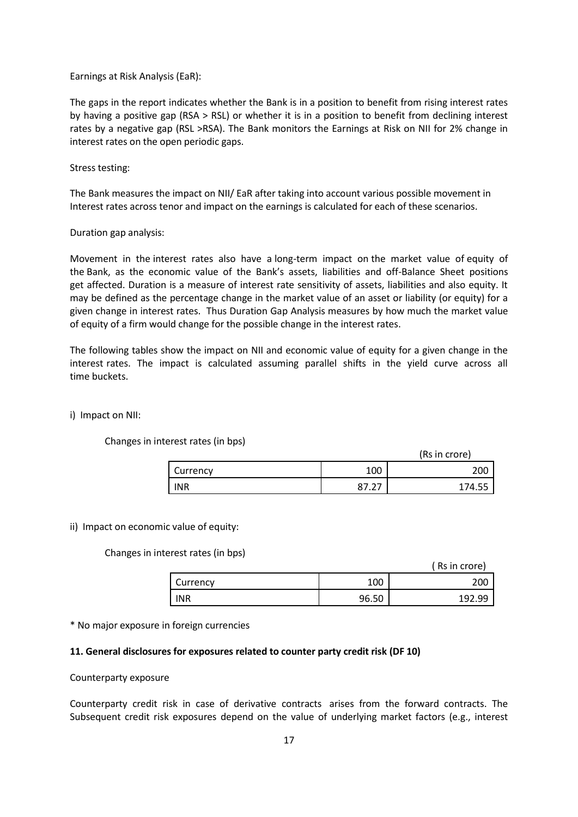#### Earnings at Risk Analysis (EaR):

The gaps in the report indicates whether the Bank is in a position to benefit from rising interest rates by having a positive gap (RSA > RSL) or whether it is in a position to benefit from declining interest rates by a negative gap (RSL >RSA). The Bank monitors the Earnings at Risk on NII for 2% change in interest rates on the open periodic gaps.

#### Stress testing:

The Bank measures the impact on NII/ EaR after taking into account various possible movement in Interest rates across tenor and impact on the earnings is calculated for each of these scenarios.

#### Duration gap analysis:

Movement in the interest rates also have a long-term impact on the market value of equity of the Bank, as the economic value of the Bank's assets, liabilities and off-Balance Sheet positions get affected. Duration is a measure of interest rate sensitivity of assets, liabilities and also equity. It may be defined as the percentage change in the market value of an asset or liability (or equity) for a given change in interest rates. Thus Duration Gap Analysis measures by how much the market value of equity of a firm would change for the possible change in the interest rates.

The following tables show the impact on NII and economic value of equity for a given change in the interest rates. The impact is calculated assuming parallel shifts in the yield curve across all time buckets.

#### i) Impact on NII:

Changes in interest rates (in bps)

(Rs in crore)

| Currency   | 100         | 200<br>∠∪∪ |
|------------|-------------|------------|
| <b>INR</b> | ∽<br>$\sim$ | 74.55      |

#### ii) Impact on economic value of equity:

Changes in interest rates (in bps)

|  | Rs in crore) |  |
|--|--------------|--|
|  |              |  |
|  |              |  |

|            |       | (Rs in crore) |
|------------|-------|---------------|
| Currency   | 100   | 200           |
| <b>INR</b> | 96.50 | 192.99        |

\* No major exposure in foreign currencies

#### **11. General disclosures for exposures related to counter party credit risk (DF 10)**

#### Counterparty exposure

Counterparty credit risk in case of derivative contracts arises from the forward contracts. The Subsequent credit risk exposures depend on the value of underlying market factors (e.g., interest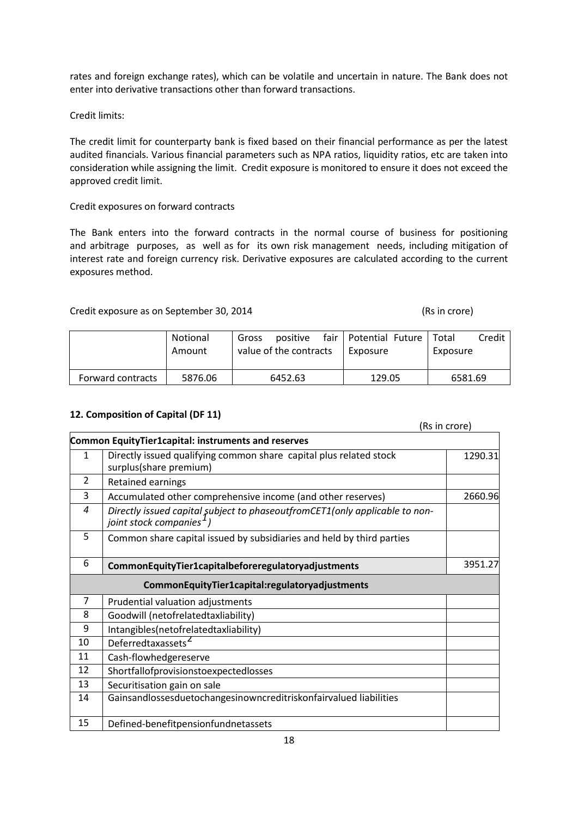rates and foreign exchange rates), which can be volatile and uncertain in nature. The Bank does not enter into derivative transactions other than forward transactions.

Credit limits:

The credit limit for counterparty bank is fixed based on their financial performance as per the latest audited financials. Various financial parameters such as NPA ratios, liquidity ratios, etc are taken into consideration while assigning the limit. Credit exposure is monitored to ensure it does not exceed the approved credit limit.

# Credit exposures on forward contracts

The Bank enters into the forward contracts in the normal course of business for positioning and arbitrage purposes, as well as for its own risk management needs, including mitigation of interest rate and foreign currency risk. Derivative exposures are calculated according to the current exposures method.

# Credit exposure as on September 30, 2014 (Rs in crore)

|                   | Notional<br>Amount | positive<br>Gross<br>value of the contracts | fair   Potential Future   Total<br>Exposure | Credit<br>Exposure |
|-------------------|--------------------|---------------------------------------------|---------------------------------------------|--------------------|
| Forward contracts | 5876.06            | 6452.63                                     | 129.05                                      | 6581.69            |

# **12. Composition of Capital (DF 11)**

(Rs in crore)

|                | Common EquityTier1capital: instruments and reserves                                                                            |         |
|----------------|--------------------------------------------------------------------------------------------------------------------------------|---------|
| 1              | Directly issued qualifying common share capital plus related stock<br>surplus(share premium)                                   | 1290.31 |
| 2              | Retained earnings                                                                                                              |         |
| 3              | Accumulated other comprehensive income (and other reserves)                                                                    | 2660.96 |
| $\overline{4}$ | Directly issued capital subject to phaseoutfromCET1 $\overline{(only applicable~to~non-}$ joint stock companies <sup>1</sup> ) |         |
| 5              | Common share capital issued by subsidiaries and held by third parties                                                          |         |
| 6              | CommonEquityTier1capitalbeforeregulatoryadjustments                                                                            | 3951.27 |
|                | CommonEquityTier1capital:regulatoryadjustments                                                                                 |         |
| $\overline{7}$ | Prudential valuation adjustments                                                                                               |         |
| 8              | Goodwill (netofrelatedtaxliability)                                                                                            |         |
| 9              | Intangibles(netofrelatedtaxliability)                                                                                          |         |
| 10             | Deferredtaxassets <sup>2</sup>                                                                                                 |         |
| 11             | Cash-flowhedgereserve                                                                                                          |         |
| 12             | Shortfallofprovisionstoexpectedlosses                                                                                          |         |
| 13             | Securitisation gain on sale                                                                                                    |         |
| 14             | Gainsandlossesduetochangesinowncreditriskonfairvalued liabilities                                                              |         |
| 15             | Defined-benefitpensionfundnetassets                                                                                            |         |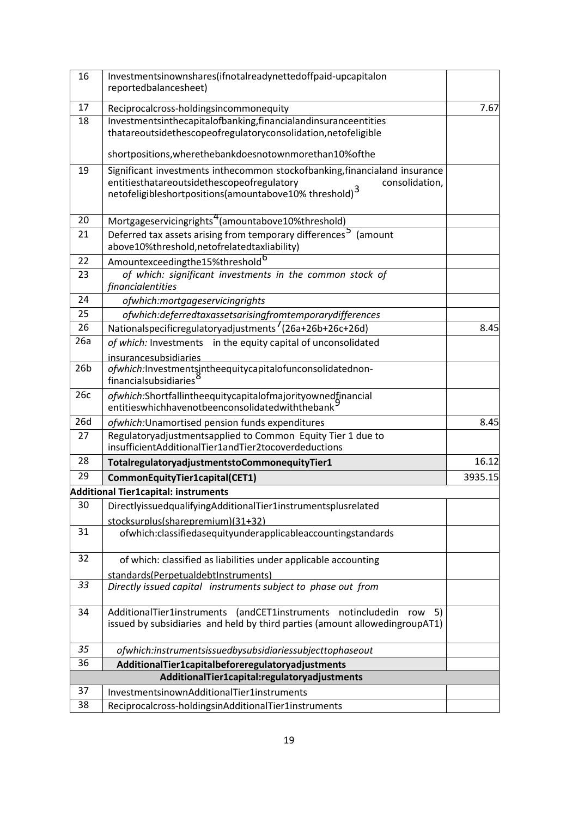| 16              | Investmentsinownshares(ifnotalreadynettedoffpaid-upcapitalon<br>reportedbalancesheet)                                                                    |         |
|-----------------|----------------------------------------------------------------------------------------------------------------------------------------------------------|---------|
| 17              | Reciprocalcross-holdingsincommonequity                                                                                                                   | 7.67    |
| 18              | Investmentsinthecapitalofbanking, financialandinsuranceentities                                                                                          |         |
|                 | thatareoutsidethescopeofregulatoryconsolidation, netofeligible                                                                                           |         |
|                 | shortpositions, where the bankdoes notown more than 10% of the                                                                                           |         |
| 19              | Significant investments inthecommon stockofbanking, financialand insurance                                                                               |         |
|                 | entitiesthatareoutsidethescopeofregulatory<br>consolidation,<br>netofeligibleshortpositions(amountabove10% threshold) $^3$                               |         |
| 20              | Mortgageservicingrights <sup>4</sup> (amountabove10%threshold)                                                                                           |         |
| 21              | Deferred tax assets arising from temporary differences <sup>5</sup> (amount                                                                              |         |
|                 | above10%threshold, netofrelatedtaxliability)                                                                                                             |         |
| 22              | Amountexceedingthe15%threshold <sup>b</sup>                                                                                                              |         |
| 23              | of which: significant investments in the common stock of<br>financialentities                                                                            |         |
| 24              | ofwhich:mortgageservicingrights                                                                                                                          |         |
| 25              | ofwhich:deferredtaxassetsarisingfromtemporarydifferences                                                                                                 |         |
| 26              | Nationalspecificregulatoryadjustments <sup>'</sup> (26a+26b+26c+26d)                                                                                     | 8.45    |
| 26a             | of which: Investments in the equity capital of unconsolidated                                                                                            |         |
|                 | insurancesubsidiaries                                                                                                                                    |         |
| 26 <sub>b</sub> | ofwhich:Investmentsintheequitycapitalofunconsolidatednon-<br>financialsubsidiaries <sup>c</sup>                                                          |         |
| 26c             | ofwhich:Shortfallintheequitycapitalofmajorityownedfinancial<br>entities which have not been consolidated with the bank                                   |         |
| 26d             | ofwhich: Unamortised pension funds expenditures                                                                                                          | 8.45    |
| 27              | Regulatoryadjustmentsapplied to Common Equity Tier 1 due to                                                                                              |         |
|                 | insufficientAdditionalTier1andTier2tocoverdeductions                                                                                                     |         |
| 28              | TotalregulatoryadjustmentstoCommonequityTier1                                                                                                            | 16.12   |
| 29              | CommonEquityTier1capital(CET1)                                                                                                                           | 3935.15 |
|                 | Additional Tier1capital: instruments                                                                                                                     |         |
| 30              | DirectlyissuedqualifyingAdditionalTier1instrumentsplusrelated                                                                                            |         |
| 31              | stocksurplus(sharepremium)(31+32)<br>ofwhich:classifiedasequityunderapplicableaccountingstandards                                                        |         |
|                 |                                                                                                                                                          |         |
| 32              | of which: classified as liabilities under applicable accounting                                                                                          |         |
|                 | standards(PerpetualdebtInstruments)                                                                                                                      |         |
| 33              | Directly issued capital instruments subject to phase out from                                                                                            |         |
| 34              | AdditionalTier1instruments (andCET1instruments notincludedin<br>row<br>5)<br>issued by subsidiaries and held by third parties (amount allowedingroupAT1) |         |
|                 |                                                                                                                                                          |         |
| 35              | ofwhich:instrumentsissuedbysubsidiariessubjecttophaseout                                                                                                 |         |
| 36              | AdditionalTier1capitalbeforeregulatoryadjustments                                                                                                        |         |
|                 | AdditionalTier1capital:regulatoryadjustments                                                                                                             |         |
| 37              | InvestmentsinownAdditionalTier1instruments                                                                                                               |         |
| 38              | Reciprocalcross-holdingsinAdditionalTier1instruments                                                                                                     |         |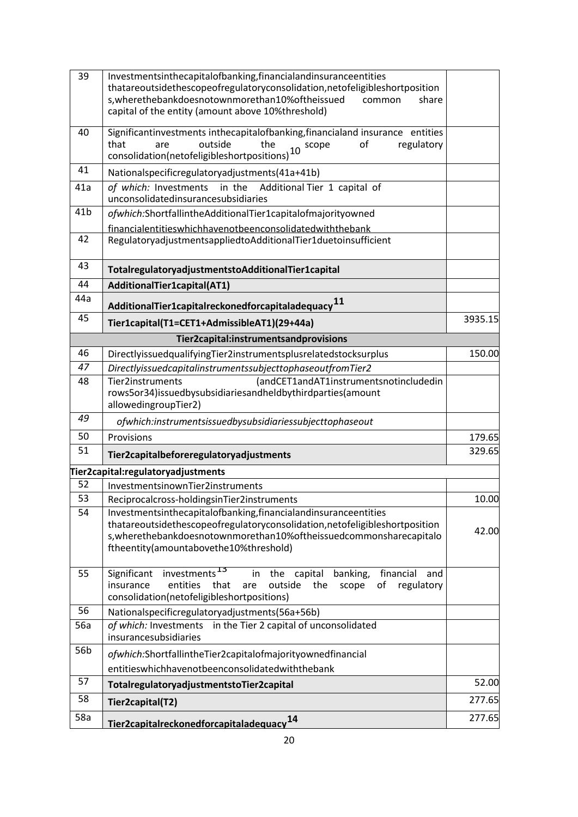| 39              | Investmentsinthecapitalofbanking, financial and insurance entities<br>thatareoutsidethescopeofregulatoryconsolidation, netofeligibleshortposition<br>s, where the bank does noto wnmore than 10% of the issued<br>common<br>share<br>capital of the entity (amount above 10%threshold) |         |
|-----------------|----------------------------------------------------------------------------------------------------------------------------------------------------------------------------------------------------------------------------------------------------------------------------------------|---------|
| 40              | Significantinvestments inthecapitalofbanking, financialand insurance entities<br>that<br>outside<br>the<br>regulatory<br>are<br>οf<br>scope<br>$10\,$<br>consolidation(netofeligibleshortpositions)                                                                                    |         |
| 41              | Nationalspecificregulatoryadjustments(41a+41b)                                                                                                                                                                                                                                         |         |
| 41a             | in the<br>Additional Tier 1 capital of<br>of which: Investments<br>unconsolidatedinsurancesubsidiaries                                                                                                                                                                                 |         |
| 41 <sub>b</sub> | ofwhich:ShortfallintheAdditionalTier1capitalofmajorityowned<br>financialentitieswhichhavenotbeenconsolidatedwiththebank                                                                                                                                                                |         |
| 42              | RegulatoryadjustmentsappliedtoAdditionalTier1duetoinsufficient                                                                                                                                                                                                                         |         |
| 43              | TotalregulatoryadjustmentstoAdditionalTier1capital                                                                                                                                                                                                                                     |         |
| 44              | AdditionalTier1capital(AT1)                                                                                                                                                                                                                                                            |         |
| 44a             | Additional Tier1 capital reckoned for capital adequacy $11$                                                                                                                                                                                                                            |         |
| 45              | Tier1capital(T1=CET1+AdmissibleAT1)(29+44a)                                                                                                                                                                                                                                            | 3935.15 |
|                 | Tier2capital:instrumentsandprovisions                                                                                                                                                                                                                                                  |         |
| 46              | DirectlyissuedqualifyingTier2instrumentsplusrelatedstocksurplus                                                                                                                                                                                                                        | 150.00  |
| 47              | DirectlyissuedcapitalinstrumentssubjecttophaseoutfromTier2                                                                                                                                                                                                                             |         |
| 48              | (andCET1andAT1instrumentsnotincludedin<br>Tier2instruments<br>rows5or34)issuedbysubsidiariesandheldbythirdparties(amount<br>allowedingroupTier2)                                                                                                                                       |         |
| 49              | ofwhich:instrumentsissuedbysubsidiariessubjecttophaseout                                                                                                                                                                                                                               |         |
| 50              | Provisions                                                                                                                                                                                                                                                                             |         |
| 51              | Tier2capitalbeforeregulatoryadjustments                                                                                                                                                                                                                                                |         |
|                 | Tier2capital:regulatoryadjustments                                                                                                                                                                                                                                                     |         |
| 52              | InvestmentsinownTier2instruments                                                                                                                                                                                                                                                       |         |
| 53              | Reciprocalcross-holdingsinTier2instruments                                                                                                                                                                                                                                             | 10.00   |
| 54              | Investmentsinthecapitalofbanking, financial and insurance entities<br>thatareoutsidethescopeofregulatoryconsolidation, netofeligibleshortposition<br>s, where the bank does notown more than 10% of the issued commons hare capitalo<br>ftheentity(amountabovethe10%threshold)         | 42.00   |
| 55              | investments <sup>13</sup><br>Significant<br>the capital<br>in<br>banking,<br>financial<br>and<br>regulatory<br>insurance<br>entities<br>outside<br>the<br>of<br>that<br>are<br>scope<br>consolidation(netofeligibleshortpositions)                                                     |         |
| 56              | Nationalspecificregulatoryadjustments(56a+56b)                                                                                                                                                                                                                                         |         |
| 56a             | of which: Investments<br>in the Tier 2 capital of unconsolidated<br>insurancesubsidiaries                                                                                                                                                                                              |         |
| 56b             | ofwhich:ShortfallintheTier2capitalofmajorityownedfinancial                                                                                                                                                                                                                             |         |
| 57              | entitieswhichhavenotbeenconsolidatedwiththebank                                                                                                                                                                                                                                        |         |
|                 | TotalregulatoryadjustmentstoTier2capital                                                                                                                                                                                                                                               | 52.00   |
| 58              | Tier2capital(T2)                                                                                                                                                                                                                                                                       | 277.65  |
| 58a             | 14,<br>Tier2capitalreckonedforcapitaladequacy                                                                                                                                                                                                                                          | 277.65  |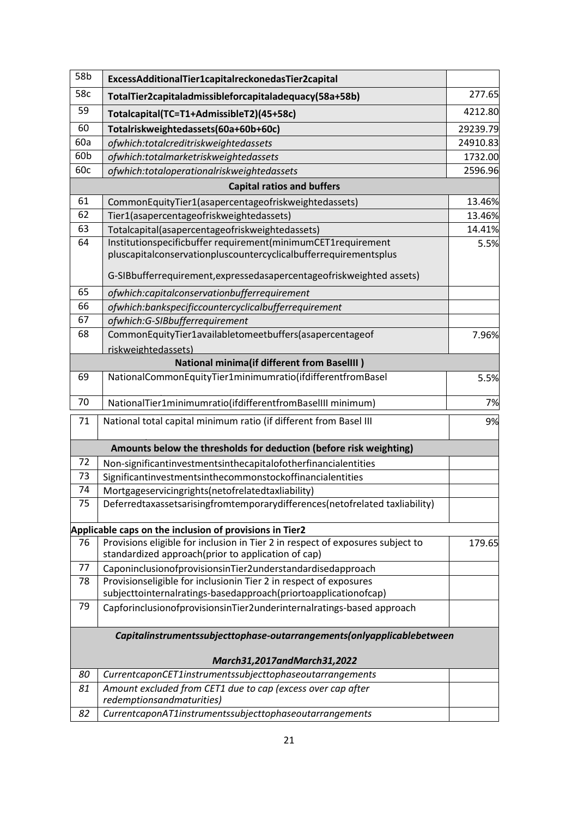| 58b                                                                    | ExcessAdditionalTier1capitalreckonedasTier2capital                                                                               |          |
|------------------------------------------------------------------------|----------------------------------------------------------------------------------------------------------------------------------|----------|
| 58c                                                                    | TotalTier2capitaladmissibleforcapitaladequacy(58a+58b)                                                                           | 277.65   |
| 59                                                                     | Totalcapital(TC=T1+AdmissibleT2)(45+58c)                                                                                         | 4212.80  |
| 60                                                                     | Totalriskweightedassets(60a+60b+60c)                                                                                             | 29239.79 |
| 60a                                                                    | ofwhich:totalcreditriskweightedassets                                                                                            | 24910.83 |
| 60b                                                                    | ofwhich:totalmarketriskweightedassets                                                                                            | 1732.00  |
| 60c                                                                    | ofwhich:totaloperationalriskweightedassets                                                                                       | 2596.96  |
|                                                                        | <b>Capital ratios and buffers</b>                                                                                                |          |
| 61                                                                     | CommonEquityTier1(asapercentageofriskweightedassets)                                                                             | 13.46%   |
| 62                                                                     | Tier1(asapercentageofriskweightedassets)                                                                                         | 13.46%   |
| 63                                                                     | Totalcapital(asapercentageofriskweightedassets)                                                                                  | 14.41%   |
| 64                                                                     | Institutionspecificbuffer requirement(minimumCET1requirement<br>pluscapitalconservationpluscountercyclicalbufferrequirementsplus | 5.5%     |
|                                                                        | G-SIBbufferrequirement, expressed as apercentage of risk weighted assets)                                                        |          |
| 65                                                                     | ofwhich:capitalconservationbufferrequirement                                                                                     |          |
| 66                                                                     | ofwhich:bankspecificcountercyclicalbufferrequirement                                                                             |          |
| 67                                                                     | ofwhich:G-SIBbufferrequirement                                                                                                   |          |
| 68                                                                     | CommonEquityTier1availabletomeetbuffers(asapercentageof                                                                          | 7.96%    |
|                                                                        | riskweightedassets)                                                                                                              |          |
|                                                                        | <b>National minima(if different from BaselIII)</b>                                                                               |          |
| 69                                                                     | NationalCommonEquityTier1minimumratio(ifdifferentfromBasel                                                                       | 5.5%     |
| 70                                                                     | NationalTier1minimumratio(ifdifferentfromBaselIII minimum)                                                                       | 7%       |
| 71                                                                     | National total capital minimum ratio (if different from Basel III                                                                | 9%       |
|                                                                        | Amounts below the thresholds for deduction (before risk weighting)                                                               |          |
| 72                                                                     | Non-significantinvestmentsinthecapitalofotherfinancialentities                                                                   |          |
| 73                                                                     | Significantinvestmentsinthecommonstockoffinancialentities                                                                        |          |
| 74                                                                     | Mortgageservicingrights(netofrelatedtaxliability)                                                                                |          |
| 75                                                                     | Deferredtaxassetsarisingfromtemporarydifferences(netofrelated taxliability)                                                      |          |
|                                                                        | Applicable caps on the inclusion of provisions in Tier2                                                                          |          |
| 76                                                                     | Provisions eligible for inclusion in Tier 2 in respect of exposures subject to                                                   | 179.65   |
|                                                                        | standardized approach(prior to application of cap)                                                                               |          |
| 77                                                                     | CaponinclusionofprovisionsinTier2understandardisedapproach                                                                       |          |
| 78                                                                     | Provisionseligible for inclusionin Tier 2 in respect of exposures                                                                |          |
|                                                                        | subjecttointernalratings-basedapproach(priortoapplicationofcap)                                                                  |          |
| 79                                                                     | CapforinclusionofprovisionsinTier2underinternalratings-based approach                                                            |          |
| Capitalinstrumentssubjecttophase-outarrangements(onlyapplicablebetween |                                                                                                                                  |          |
|                                                                        | March31,2017andMarch31,2022                                                                                                      |          |
| 80                                                                     | CurrentcaponCET1instrumentssubjecttophaseoutarrangements                                                                         |          |
| 81                                                                     | Amount excluded from CET1 due to cap (excess over cap after                                                                      |          |
|                                                                        | redemptionsandmaturities)                                                                                                        |          |
| 82                                                                     | CurrentcaponAT1instrumentssubjecttophaseoutarrangements                                                                          |          |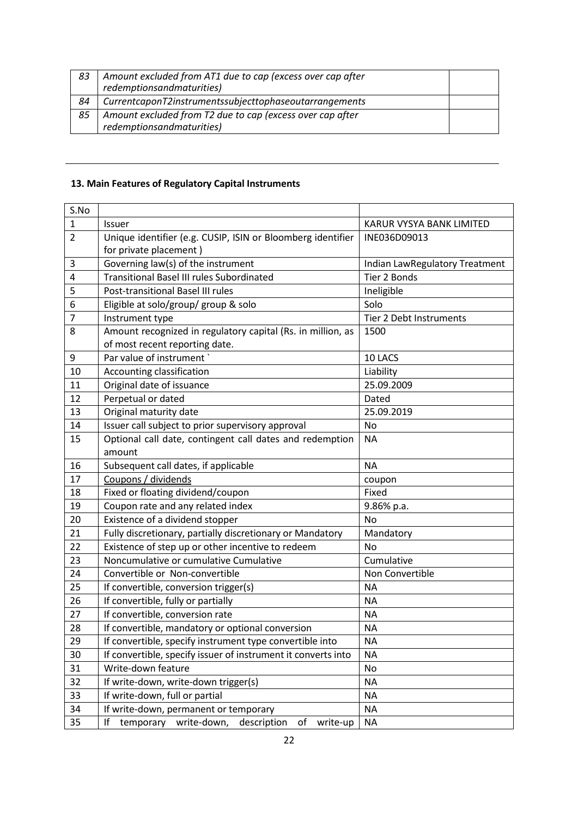| 83 | Amount excluded from AT1 due to cap (excess over cap after<br>redemptionsandmaturities) |  |
|----|-----------------------------------------------------------------------------------------|--|
| 84 | CurrentcaponT2instrumentssubjecttophaseoutarrangements                                  |  |
| 85 | Amount excluded from T2 due to cap (excess over cap after<br>redemptionsandmaturities)  |  |

# **13. Main Features of Regulatory Capital Instruments**

| S.No           |                                                                 |                                |  |
|----------------|-----------------------------------------------------------------|--------------------------------|--|
| $\mathbf{1}$   | Issuer                                                          | KARUR VYSYA BANK LIMITED       |  |
| $\overline{2}$ | Unique identifier (e.g. CUSIP, ISIN or Bloomberg identifier     | INE036D09013                   |  |
|                | for private placement)                                          |                                |  |
| 3              | Governing law(s) of the instrument                              | Indian LawRegulatory Treatment |  |
| 4              | <b>Transitional Basel III rules Subordinated</b>                | Tier 2 Bonds                   |  |
| 5              | Post-transitional Basel III rules                               | Ineligible                     |  |
| 6              | Eligible at solo/group/ group & solo                            | Solo                           |  |
| $\overline{7}$ | Instrument type                                                 | <b>Tier 2 Debt Instruments</b> |  |
| 8              | Amount recognized in regulatory capital (Rs. in million, as     | 1500                           |  |
|                | of most recent reporting date.                                  |                                |  |
| 9              | Par value of instrument                                         | 10 LACS                        |  |
| 10             | Accounting classification                                       | Liability                      |  |
| 11             | Original date of issuance                                       | 25.09.2009                     |  |
| 12             | Perpetual or dated                                              | Dated                          |  |
| 13             | Original maturity date                                          | 25.09.2019                     |  |
| 14             | Issuer call subject to prior supervisory approval               | No                             |  |
| 15             | Optional call date, contingent call dates and redemption        | <b>NA</b>                      |  |
|                | amount                                                          |                                |  |
| 16             | Subsequent call dates, if applicable                            | <b>NA</b>                      |  |
| 17             | Coupons / dividends                                             | coupon                         |  |
| 18             | Fixed or floating dividend/coupon                               | Fixed                          |  |
| 19             | Coupon rate and any related index                               | 9.86% p.a.                     |  |
| 20             | Existence of a dividend stopper                                 | <b>No</b>                      |  |
| 21             | Fully discretionary, partially discretionary or Mandatory       | Mandatory                      |  |
| 22             | Existence of step up or other incentive to redeem               | No                             |  |
| 23             | Noncumulative or cumulative Cumulative                          | Cumulative                     |  |
| 24             | Convertible or Non-convertible                                  | Non Convertible                |  |
| 25             | If convertible, conversion trigger(s)                           | <b>NA</b>                      |  |
| 26             | If convertible, fully or partially                              | <b>NA</b>                      |  |
| 27             | If convertible, conversion rate                                 | <b>NA</b>                      |  |
| 28             | If convertible, mandatory or optional conversion                | <b>NA</b>                      |  |
| 29             | If convertible, specify instrument type convertible into        | <b>NA</b>                      |  |
| 30             | If convertible, specify issuer of instrument it converts into   | <b>NA</b>                      |  |
| 31             | Write-down feature                                              | No                             |  |
| 32             | If write-down, write-down trigger(s)                            | <b>NA</b>                      |  |
| 33             | If write-down, full or partial                                  | <b>NA</b>                      |  |
| 34             | If write-down, permanent or temporary                           | <b>NA</b>                      |  |
| 35             | write-down,<br>If<br>description<br>temporary<br>of<br>write-up | <b>NA</b>                      |  |